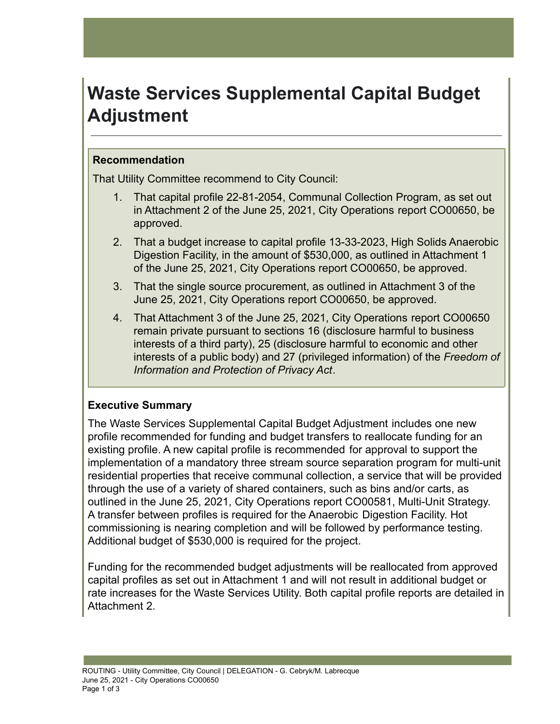# **Waste Services Supplemental Capital Budget Adjustment**

## **Recommendation**

That Utility Committee recommend to City Council:

- 1. That capital profile 22-81-2054, Communal Collection Program, as set out in Attachment 2 of the June 25, 2021, City Operations report CO00650, be approved.
- 2. That a budget increase to capital profile 13-33-2023, High Solids Anaerobic Digestion Facility, in the amount of \$530,000, as outlined in Attachment 1 of the June 25, 2021, City Operations report CO00650, be approved.
- 3. That the single source procurement, as outlined in Attachment 3 of the June 25, 2021, City Operations report CO00650, be approved.
- 4. That Attachment 3 of the June 25, 2021, City Operations report CO00650 remain private pursuant to sections 16 (disclosure harmful to business interests of a third party), 25 (disclosure harmful to economic and other interests of a public body) and 27 (privileged information) of the *Freedom of Information and Protection of Privacy Act*.

# **Executive Summary**

The Waste Services Supplemental Capital Budget Adjustment includes one new profile recommended for funding and budget transfers to reallocate funding for an existing profile. A new capital profile is recommended for approval to support the implementation of a mandatory three stream source separation program for multi-unit residential properties that receive communal collection, a service that will be provided through the use of a variety of shared containers, such as bins and/or carts, as outlined in the June 25, 2021, City Operations report CO00581, Multi-Unit Strategy. A transfer between profiles is required for the Anaerobic Digestion Facility. Hot commissioning is nearing completion and will be followed by performance testing. Additional budget of \$530,000 is required for the project.

Funding for the recommended budget adjustments will be reallocated from approved capital profiles as set out in Attachment 1 and will not result in additional budget or rate increases for the Waste Services Utility. Both capital profile reports are detailed in Attachment 2.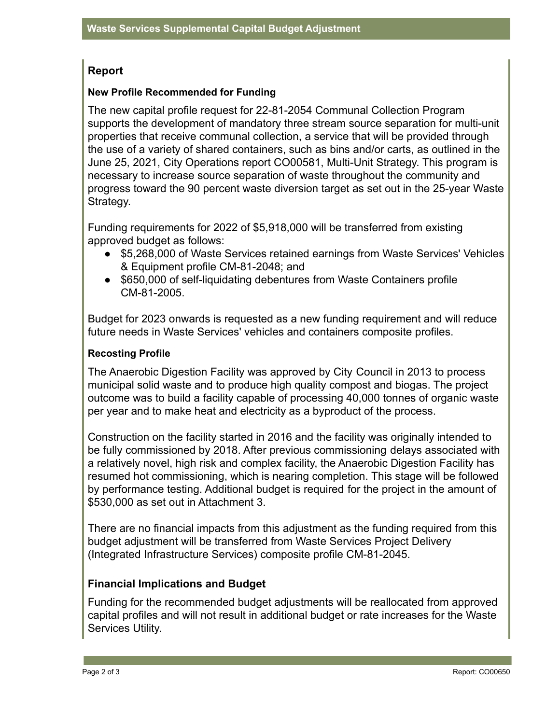# **Report**

#### **New Profile Recommended for Funding**

The new capital profile request for 22-81-2054 Communal Collection Program supports the development of mandatory three stream source separation for multi-unit properties that receive communal collection, a service that will be provided through the use of a variety of shared containers, such as bins and/or carts, as outlined in the June 25, 2021, City Operations report CO00581, Multi-Unit Strategy. This program is necessary to increase source separation of waste throughout the community and progress toward the 90 percent waste diversion target as set out in the 25-year Waste Strategy.

Funding requirements for 2022 of \$5,918,000 will be transferred from existing approved budget as follows:

- \$5,268,000 of Waste Services retained earnings from Waste Services' Vehicles & Equipment profile CM-81-2048; and
- \$650,000 of self-liquidating debentures from Waste Containers profile CM-81-2005.

Budget for 2023 onwards is requested as a new funding requirement and will reduce future needs in Waste Services' vehicles and containers composite profiles.

#### **Recosting Profile**

The Anaerobic Digestion Facility was approved by City Council in 2013 to process municipal solid waste and to produce high quality compost and biogas. The project outcome was to build a facility capable of processing 40,000 tonnes of organic waste per year and to make heat and electricity as a byproduct of the process.

Construction on the facility started in 2016 and the facility was originally intended to be fully commissioned by 2018. After previous commissioning delays associated with a relatively novel, high risk and complex facility, the Anaerobic Digestion Facility has resumed hot commissioning, which is nearing completion. This stage will be followed by performance testing. Additional budget is required for the project in the amount of \$530,000 as set out in Attachment 3.

There are no financial impacts from this adjustment as the funding required from this budget adjustment will be transferred from Waste Services Project Delivery (Integrated Infrastructure Services) composite profile CM-81-2045.

#### **Financial Implications and Budget**

Funding for the recommended budget adjustments will be reallocated from approved capital profiles and will not result in additional budget or rate increases for the Waste Services Utility.